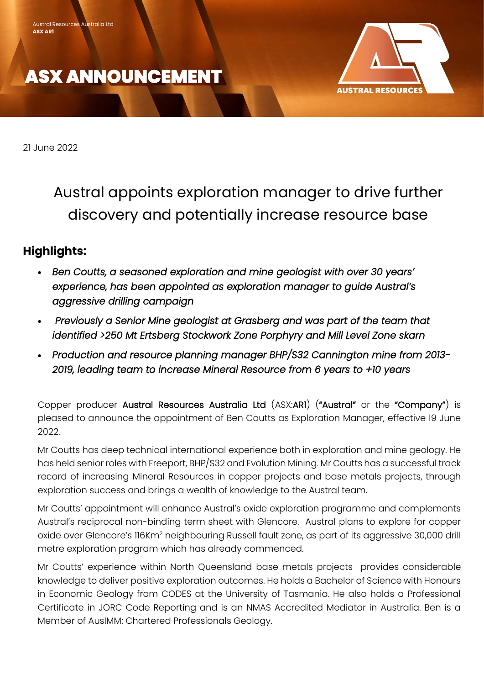# **ASX ANNOUNCEMENT**



21 June 2022

Austral appoints exploration manager to drive further discovery and potentially increase resource base

### **Highlights:**

- *Ben Coutts, a seasoned exploration and mine geologist with over 30 years' experience, has been appointed as exploration manager to guide Austral's aggressive drilling campaign*
- • *Previously a Senior Mine geologist at Grasberg and was part of the team that identified >250 Mt Ertsberg Stockwork Zone Porphyry and Mill Level Zone skarn*
- *Production and resource planning manager BHP/S32 Cannington mine from 2013- 2019, leading team to increase Mineral Resource from 6 years to +10 years*

Copper producer Austral Resources Australia Ltd (ASX:AR1) ("Austral" or the "Company") is pleased to announce the appointment of Ben Coutts as Exploration Manager, effective 19 June 2022.

Mr Coutts has deep technical international experience both in exploration and mine geology. He has held senior roles with Freeport, BHP/S32 and Evolution Mining. Mr Coutts has a successful track record of increasing Mineral Resources in copper projects and base metals projects, through exploration success and brings a wealth of knowledge to the Austral team.

Mr Coutts' appointment will enhance Austral's oxide exploration programme and complements Austral's reciprocal non-binding term sheet with Glencore. Austral plans to explore for copper oxide over Glencore's 116Km<sup>2</sup> neighbouring Russell fault zone, as part of its aggressive 30,000 drill metre exploration program which has already commenced.

Mr Coutts' experience within North Queensland base metals projects provides considerable knowledge to deliver positive exploration outcomes. He holds a Bachelor of Science with Honours in Economic Geology from CODES at the University of Tasmania. He also holds a Professional Certificate in JORC Code Reporting and is an NMAS Accredited Mediator in Australia. Ben is a Member of AusIMM: Chartered Professionals Geology.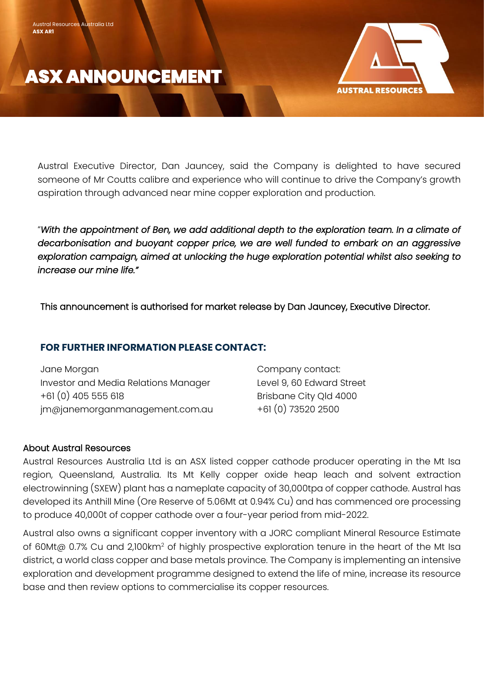

Austral Resources Australia Ltd

**ASX AR1**



Austral Executive Director, Dan Jauncey, said the Company is delighted to have secured someone of Mr Coutts calibre and experience who will continue to drive the Company's growth aspiration through advanced near mine copper exploration and production.

"*With the appointment of Ben, we add additional depth to the exploration team. In a climate of decarbonisation and buoyant copper price, we are well funded to embark on an aggressive exploration campaign, aimed at unlocking the huge exploration potential whilst also seeking to increase our mine life."*

This announcement is authorised for market release by Dan Jauncey, Executive Director.

### **FOR FURTHER INFORMATION PLEASE CONTACT:**

| Jane Morgan                          | Company contact:          |
|--------------------------------------|---------------------------|
| Investor and Media Relations Manager | Level 9, 60 Edward Street |
| +61 (0) 405 555 618                  | Brisbane City Qld 4000    |
| jm@janemorganmanagement.com.au       | +61 (0) 73520 2500        |

#### About Austral Resources

Austral Resources Australia Ltd is an ASX listed copper cathode producer operating in the Mt Isa region, Queensland, Australia. Its Mt Kelly copper oxide heap leach and solvent extraction electrowinning (SXEW) plant has a nameplate capacity of 30,000tpa of copper cathode. Austral has developed its Anthill Mine (Ore Reserve of 5.06Mt at 0.94% Cu) and has commenced ore processing to produce 40,000t of copper cathode over a four-year period from mid-2022.

Austral also owns a significant copper inventory with a JORC compliant Mineral Resource Estimate of 60Mt@ 0.7% Cu and 2,100km<sup>2</sup> of highly prospective exploration tenure in the heart of the Mt Isa district, a world class copper and base metals province. The Company is implementing an intensive exploration and development programme designed to extend the life of mine, increase its resource base and then review options to commercialise its copper resources.